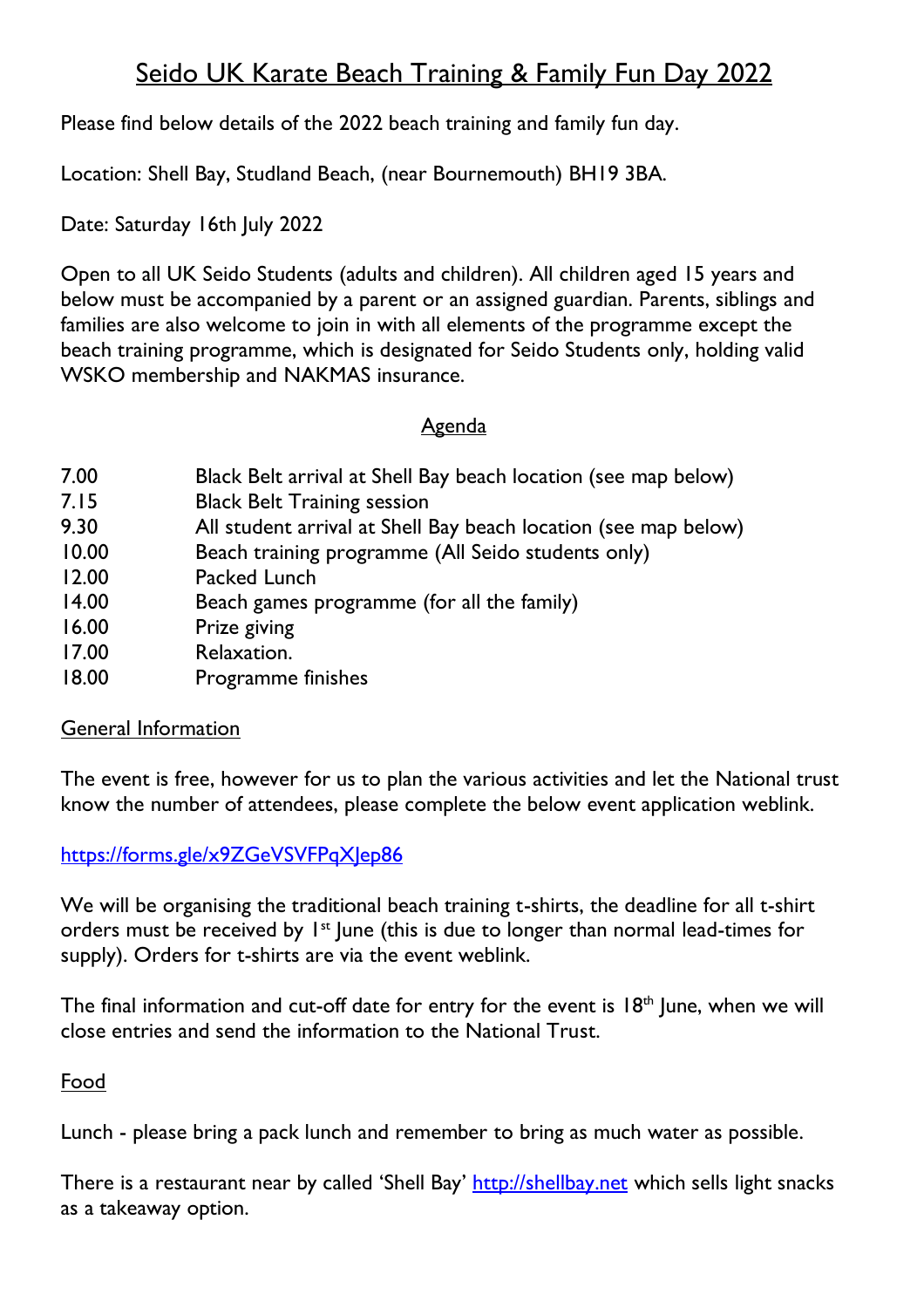# Seido UK Karate Beach Training & Family Fun Day 2022

Please find below details of the 2022 beach training and family fun day.

Location: Shell Bay, Studland Beach, (near Bournemouth) BH19 3BA.

Date: Saturday 16th July 2022

Open to all UK Seido Students (adults and children). All children aged 15 years and below must be accompanied by a parent or an assigned guardian. Parents, siblings and families are also welcome to join in with all elements of the programme except the beach training programme, which is designated for Seido Students only, holding valid WSKO membership and NAKMAS insurance.

## Agenda

- 7.00 Black Belt arrival at Shell Bay beach location (see map below)
- 7.15 Black Belt Training session
- 9.30 All student arrival at Shell Bay beach location (see map below)
- 10.00 Beach training programme (All Seido students only)
- 12.00 Packed Lunch
- 14.00 Beach games programme (for all the family)
- 16.00 Prize giving
- 17.00 Relaxation.
- 18.00 Programme finishes

## **General Information**

The event is free, however for us to plan the various activities and let the National trust know the number of attendees, please complete the below event application weblink.

## <https://forms.gle/x9ZGeVSVFPqXJep86>

We will be organising the traditional beach training t-shirts, the deadline for all t-shirt orders must be received by 1<sup>st</sup> June (this is due to longer than normal lead-times for supply). Orders for t-shirts are via the event weblink.

The final information and cut-off date for entry for the event is  $18<sup>th</sup>$  June, when we will close entries and send the information to the National Trust.

## Food

Lunch - please bring a pack lunch and remember to bring as much water as possible.

There is a restaurant near by called 'Shell Bay' [http://shellbay.net](http://shellbay.net/) which sells light snacks as a takeaway option.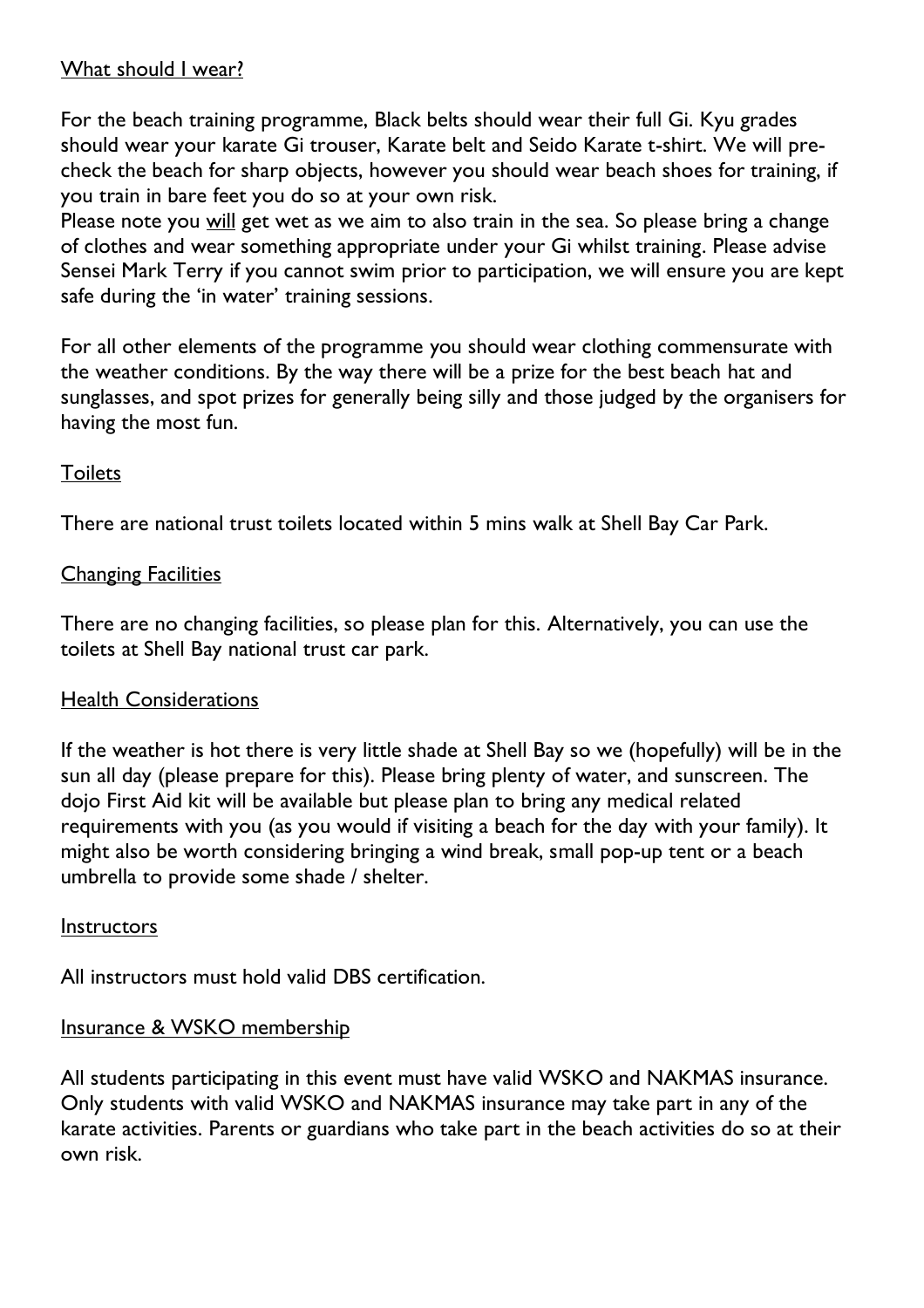#### What should I wear?

For the beach training programme, Black belts should wear their full Gi. Kyu grades should wear your karate Gi trouser, Karate belt and Seido Karate t-shirt. We will precheck the beach for sharp objects, however you should wear beach shoes for training, if you train in bare feet you do so at your own risk.

Please note you will get wet as we aim to also train in the sea. So please bring a change of clothes and wear something appropriate under your Gi whilst training. Please advise Sensei Mark Terry if you cannot swim prior to participation, we will ensure you are kept safe during the 'in water' training sessions.

For all other elements of the programme you should wear clothing commensurate with the weather conditions. By the way there will be a prize for the best beach hat and sunglasses, and spot prizes for generally being silly and those judged by the organisers for having the most fun.

#### **Toilets**

There are national trust toilets located within 5 mins walk at Shell Bay Car Park.

#### Changing Facilities

There are no changing facilities, so please plan for this. Alternatively, you can use the toilets at Shell Bay national trust car park.

## Health Considerations

If the weather is hot there is very little shade at Shell Bay so we (hopefully) will be in the sun all day (please prepare for this). Please bring plenty of water, and sunscreen. The dojo First Aid kit will be available but please plan to bring any medical related requirements with you (as you would if visiting a beach for the day with your family). It might also be worth considering bringing a wind break, small pop-up tent or a beach umbrella to provide some shade / shelter.

#### **Instructors**

All instructors must hold valid DBS certification.

#### Insurance & WSKO membership

All students participating in this event must have valid WSKO and NAKMAS insurance. Only students with valid WSKO and NAKMAS insurance may take part in any of the karate activities. Parents or guardians who take part in the beach activities do so at their own risk.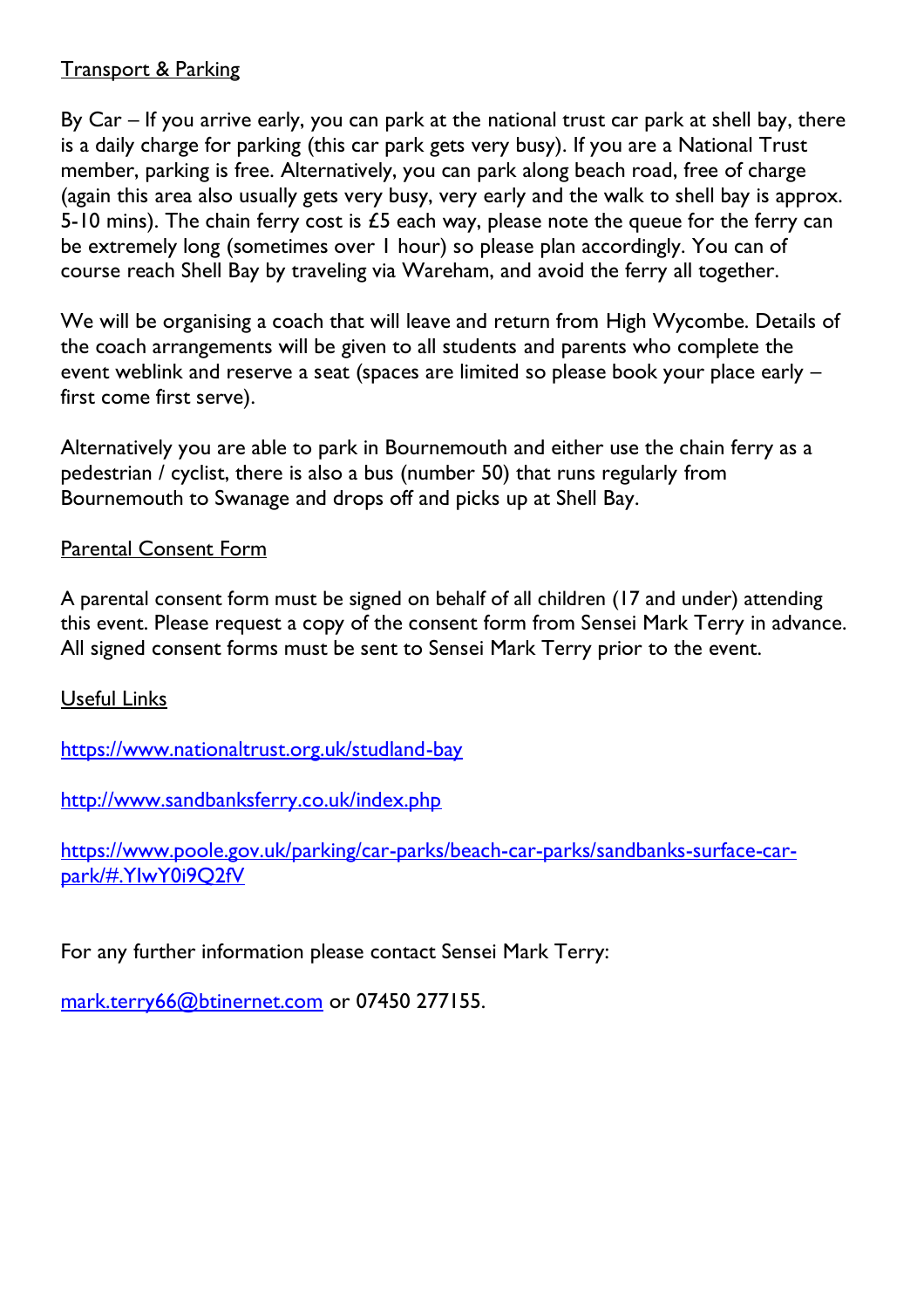## Transport & Parking

By Car – If you arrive early, you can park at the national trust car park at shell bay, there is a daily charge for parking (this car park gets very busy). If you are a National Trust member, parking is free. Alternatively, you can park along beach road, free of charge (again this area also usually gets very busy, very early and the walk to shell bay is approx. 5-10 mins). The chain ferry cost is  $\angle$ 5 each way, please note the queue for the ferry can be extremely long (sometimes over 1 hour) so please plan accordingly. You can of course reach Shell Bay by traveling via Wareham, and avoid the ferry all together.

We will be organising a coach that will leave and return from High Wycombe. Details of the coach arrangements will be given to all students and parents who complete the event weblink and reserve a seat (spaces are limited so please book your place early – first come first serve).

Alternatively you are able to park in Bournemouth and either use the chain ferry as a pedestrian / cyclist, there is also a bus (number 50) that runs regularly from Bournemouth to Swanage and drops off and picks up at Shell Bay.

## Parental Consent Form

A parental consent form must be signed on behalf of all children (17 and under) attending this event. Please request a copy of the consent form from Sensei Mark Terry in advance. All signed consent forms must be sent to Sensei Mark Terry prior to the event.

## Useful Links

<https://www.nationaltrust.org.uk/studland-bay>

<http://www.sandbanksferry.co.uk/index.php>

[https://www.poole.gov.uk/parking/car-parks/beach-car-parks/sandbanks-surface-car](https://www.poole.gov.uk/parking/car-parks/beach-car-parks/sandbanks-surface-car-park/#.YIwY0i9Q2fV)[park/#.YIwY0i9Q2fV](https://www.poole.gov.uk/parking/car-parks/beach-car-parks/sandbanks-surface-car-park/#.YIwY0i9Q2fV)

For any further information please contact Sensei Mark Terry:

[mark.terry66@btinernet.com](mailto:mark.terry66@btinernet.com) or 07450 277155.